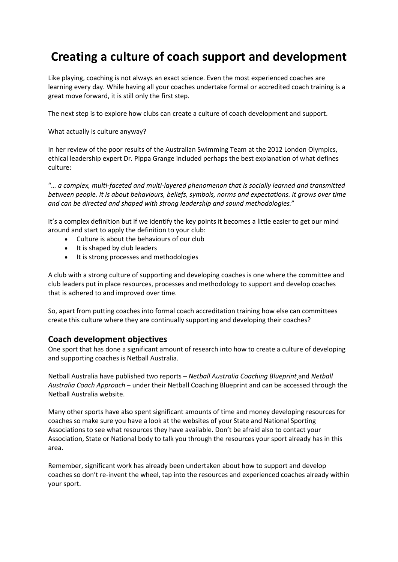# **Creating a culture of coach support and development**

Like playing, coaching is not always an exact science. Even the most experienced coaches are learning every day. While having all your coaches undertake formal or accredited coach training is a great move forward, it is still only the first step.

The next step is to explore how clubs can create a culture of coach development and support.

What actually is culture anyway?

In her review of the poor results of the Australian Swimming Team at the 2012 London Olympics, ethical leadership expert Dr. Pippa Grange included perhaps the best explanation of what defines culture:

"*… a complex, multi-faceted and multi-layered phenomenon that is socially learned and transmitted between people. It is about behaviours, beliefs, symbols, norms and expectations. It grows over time and can be directed and shaped with strong leadership and sound methodologies.*"

It's a complex definition but if we identify the key points it becomes a little easier to get our mind around and start to apply the definition to your club:

- Culture is about the behaviours of our club
- It is shaped by club leaders
- It is strong processes and methodologies

A club with a strong culture of supporting and developing coaches is one where the committee and club leaders put in place resources, processes and methodology to support and develop coaches that is adhered to and improved over time.

So, apart from putting coaches into formal coach accreditation training how else can committees create this culture where they are continually supporting and developing their coaches?

#### **Coach development objectives**

One sport that has done a significant amount of research into how to create a culture of developing and supporting coaches is Netball Australia.

Netball Australia have published two reports – *Netball Australia [Coaching](http://netball.com.au/wp-content/uploads/2015/03/NET4838-Netaball_Aus_Coaching_Coach_Blueprint-FA-OUT-LOWRES1.pdf) Blueprint* and *[Netball](http://netball.com.au/wp-content/uploads/2015/03/NET4838-Netaball_Aus_Coaching_Coach_Approach_FA-OUT-LOWRES.pdf) Australia Coach [Approach](http://netball.com.au/wp-content/uploads/2015/03/NET4838-Netaball_Aus_Coaching_Coach_Approach_FA-OUT-LOWRES.pdf)* – under their Netball Coaching Blueprint and can be accessed through the Netball Australia website.

Many other sports have also spent significant amounts of time and money developing resources for coaches so make sure you have a look at the websites of your State and National Sporting Associations to see what resources they have available. Don't be afraid also to contact your Association, State or National body to talk you through the resources your sport already has in this area.

Remember, significant work has already been undertaken about how to support and develop coaches so don't re-invent the wheel, tap into the resources and experienced coaches already within your sport.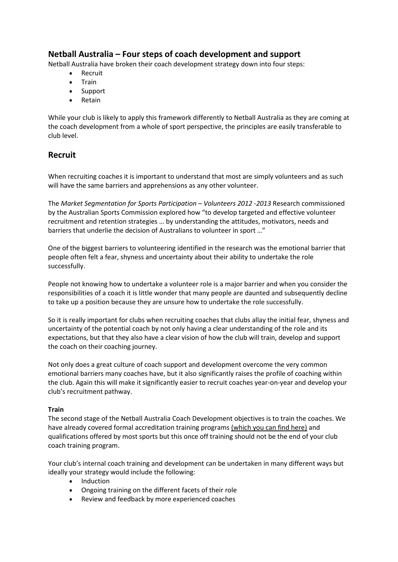# **Netball Australia – Four steps of coach development and support**

Netball Australia have broken their coach development strategy down into four steps:

- Recruit
- Train
- Support
- **Retain**

While your club is likely to apply this framework differently to Netball Australia as they are coming at the coach development from a whole of sport perspective, the principles are easily transferable to club level.

### **Recruit**

When recruiting coaches it is important to understand that most are simply volunteers and as such will have the same barriers and apprehensions as any other volunteer.

The *Market Segmentation for Sports Participation – Volunteers 2012 -2013* Research commissioned by the Australian Sports Commission explored how "to develop targeted and effective volunteer recruitment and retention strategies … by understanding the attitudes, motivators, needs and barriers that underlie the decision of Australians to volunteer in sport …"

One of the biggest barriers to volunteering identified in the research was the emotional barrier that people often felt a fear, shyness and uncertainty about their ability to undertake the role successfully.

People not knowing how to undertake a volunteer role is a major barrier and when you consider the responsibilities of a coach it is little wonder that many people are daunted and subsequently decline to take up a position because they are unsure how to undertake the role successfully.

So it is really important for clubs when recruiting coaches that clubs allay the initial fear, shyness and uncertainty of the potential coach by not only having a clear understanding of the role and its expectations, but that they also have a clear vision of how the club will train, develop and support the coach on their coaching journey.

Not only does a great culture of coach support and development overcome the very common emotional barriers many coaches have, but it also significantly raises the profile of coaching within the club. Again this will make it significantly easier to recruit coaches year-on-year and develop your club's recruitment pathway.

#### **Train**

The second stage of the Netball Australia Coach Development objectives is to train the coaches. We have already covered formal accreditation training programs [\(which](https://sportscommunity.com.au/club-member/the-committees-role-in-coach-development/coach-accreditation-courses-important/) you can find here) and qualifications offered by most sports but this once off training should not be the end of your club coach training program.

Your club's internal coach training and development can be undertaken in many different ways but ideally your strategy would include the following:

- Induction
- Ongoing training on the different facets of their role
- Review and feedback by more experienced coaches